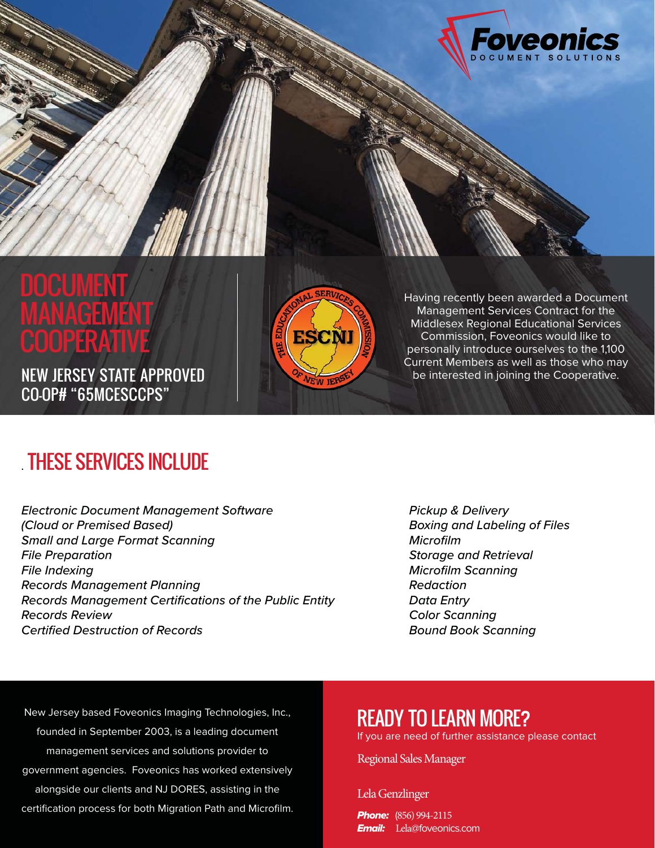

# **CUMEN** 1ANAGEMEN COOPERATII

NEW JERSEY STATE APPROVED CO-OP# "65MCESCCPS"



Having recently been awarded a Document Management Services Contract for the Middlesex Regional Educational Services Commission, Foveonics would like to personally introduce ourselves to the 1,100 Current Members as well as those who may be interested in joining the Cooperative.

## . THESE SERVICES INCLUDE

*Electronic Document Management Software (Cloud or Premised Based) Small and Large Format Scanning File Preparation File Indexing Records Management Planning Records Management Certifications of the Public Entity Records Review Certified Destruction of Records*

*Pickup & Delivery Boxing and Labeling of Files Microfilm Storage and Retrieval Microfilm Scanning Redaction Data Entry Color Scanning Bound Book Scanning*

New Jersey based Foveonics Imaging Technologies, Inc., founded in September 2003, is a leading document management services and solutions provider to government agencies. Foveonics has worked extensively alongside our clients and NJ DORES, assisting in the certification process for both Migration Path and Microfilm.

### READY TO LEARN MORE?

If you are need of further assistance please contact

Regional Sales Manager

Lela Genzlinger

**Phone:** (856) 994-2115 **Email:** Lela@foveonics.com